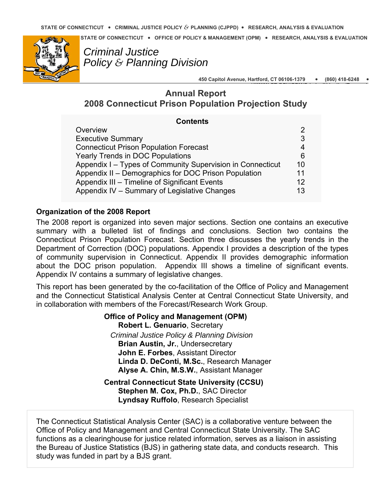**STATE OF CONNECTICUT** y **OFFICE OF POLICY & MANAGEMENT (OPM)** y **RESEARCH, ANALYSIS & EVALUATION** 



*Criminal Justice Policy & Planning Division* 

> **450 Capitol Avenue, Hartford, CT 06106-1379** y **(860) 418-6248** y **HWWW CT V/OPM/C i i l**

**GO HJ ti /R h**

# **Annual Report 2008 Connecticut Prison Population Projection Study**

| <b>Contents</b>                                            |                 |
|------------------------------------------------------------|-----------------|
| Overview                                                   | 2               |
| <b>Executive Summary</b>                                   | 3               |
| <b>Connecticut Prison Population Forecast</b>              | 4               |
| <b>Yearly Trends in DOC Populations</b>                    | 6               |
| Appendix I – Types of Community Supervision in Connecticut | 10              |
| Appendix II - Demographics for DOC Prison Population       | 11              |
| Appendix III – Timeline of Significant Events              | 12 <sup>°</sup> |
| Appendix IV - Summary of Legislative Changes               | 13              |

# **Organization of the 2008 Report**

The 2008 report is organized into seven major sections. Section one contains an executive summary with a bulleted list of findings and conclusions. Section two contains the Connecticut Prison Population Forecast. Section three discusses the yearly trends in the Department of Correction (DOC) populations. Appendix I provides a description of the types of community supervision in Connecticut. Appendix II provides demographic information about the DOC prison population. Appendix III shows a timeline of significant events. Appendix IV contains a summary of legislative changes.

This report has been generated by the co-facilitation of the Office of Policy and Management and the Connecticut Statistical Analysis Center at Central Connecticut State University, and in collaboration with members of the Forecast/Research Work Group.

> **Office of Policy and Management (OPM) Robert L. Genuario**, Secretary  *Criminal Justice Policy & Planning Division*  **Brian Austin, Jr.**, Undersecretary **John E. Forbes**, Assistant Director **Linda D. DeConti, M.Sc.**, Research Manager **Alyse A. Chin, M.S.W.**, Assistant Manager

**Central Connecticut State University (CCSU) Stephen M. Cox, Ph.D.**, SAC Director **Lyndsay Ruffolo**, Research Specialist

The Connecticut Statistical Analysis Center (SAC) is a collaborative venture between the Office of Policy and Management and Central Connecticut State University. The SAC functions as a clearinghouse for justice related information, serves as a liaison in assisting the Bureau of Justice Statistics (BJS) in gathering state data, and conducts research. This study was funded in part by a BJS grant.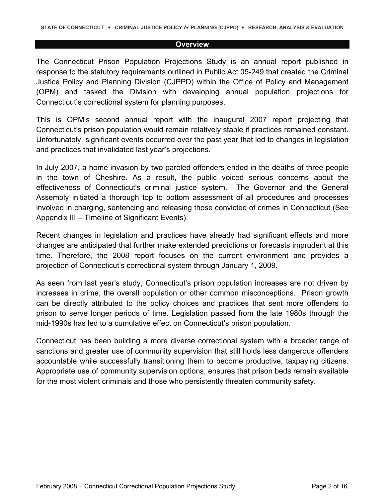#### **Overview**

<span id="page-1-0"></span>The Connecticut Prison Population Projections Study is an annual report published in response to the statutory requirements outlined in Public Act 05-249 that created the Criminal Justice Policy and Planning Division (CJPPD) within the Office of Policy and Management (OPM) and tasked the Division with developing annual population projections for Connecticut's correctional system for planning purposes.

This is OPM's second annual report with the inaugural 2007 report projecting that Connecticut's prison population would remain relatively stable if practices remained constant. Unfortunately, significant events occurred over the past year that led to changes in legislation and practices that invalidated last year's projections.

In July 2007, a home invasion by two paroled offenders ended in the deaths of three people in the town of Cheshire. As a result, the public voiced serious concerns about the effectiveness of Connecticut's criminal justice system. The Governor and the General Assembly initiated a thorough top to bottom assessment of all procedures and processes involved in charging, sentencing and releasing those convicted of crimes in Connecticut (See Appendix III – Timeline of Significant Events).

Recent changes in legislation and practices have already had significant effects and more changes are anticipated that further make extended predictions or forecasts imprudent at this time. Therefore, the 2008 report focuses on the current environment and provides a projection of Connecticut's correctional system through January 1, 2009.

As seen from last year's study, Connecticut's prison population increases are not driven by increases in crime, the overall population or other common misconceptions. Prison growth can be directly attributed to the policy choices and practices that sent more offenders to prison to serve longer periods of time. Legislation passed from the late 1980s through the mid-1990s has led to a cumulative effect on Connecticut's prison population.

Connecticut has been building a more diverse correctional system with a broader range of sanctions and greater use of community supervision that still holds less dangerous offenders accountable while successfully transitioning them to become productive, taxpaying citizens. Appropriate use of community supervision options, ensures that prison beds remain available for the most violent criminals and those who persistently threaten community safety.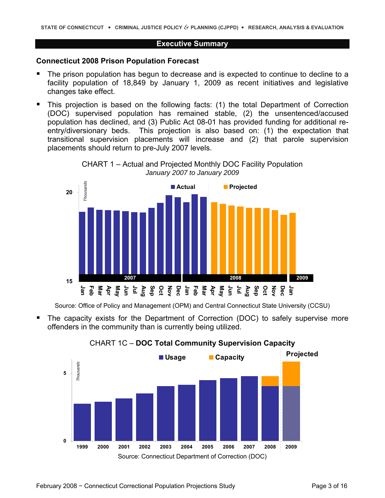#### **Executive Summary**

#### <span id="page-2-0"></span>**Connecticut 2008 Prison Population Forecast**

- The prison population has begun to decrease and is expected to continue to decline to a facility population of 18,849 by January 1, 2009 as recent initiatives and legislative changes take effect.
- **This projection is based on the following facts: (1) the total Department of Correction** (DOC) supervised population has remained stable, (2) the unsentenced/accused population has declined, and (3) Public Act 08-01 has provided funding for additional reentry/diversionary beds. This projection is also based on: (1) the expectation that transitional supervision placements will increase and (2) that parole supervision placements should return to pre-July 2007 levels.





Source: Office of Policy and Management (OPM) and Central Connecticut State University (CCSU)

 The capacity exists for the Department of Correction (DOC) to safely supervise more offenders in the community than is currently being utilized.



# CHART 1C – **DOC Total Community Supervision Capacity**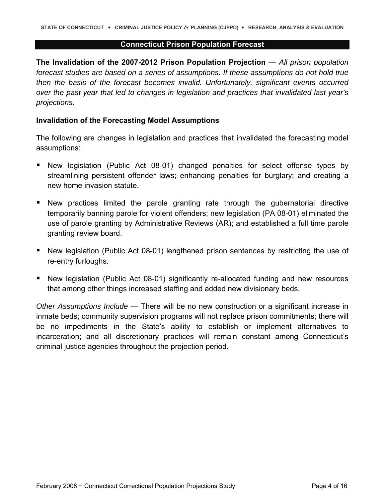#### **Connecticut Prison Population Forecast**

<span id="page-3-0"></span>**The Invalidation of the 2007-2012 Prison Population Projection** — *All prison population forecast studies are based on a series of assumptions. If these assumptions do not hold true then the basis of the forecast becomes invalid. Unfortunately, significant events occurred over the past year that led to changes in legislation and practices that invalidated last year's projections.* 

### **Invalidation of the Forecasting Model Assumptions**

The following are changes in legislation and practices that invalidated the forecasting model assumptions:

- New legislation (Public Act 08-01) changed penalties for select offense types by streamlining persistent offender laws; enhancing penalties for burglary; and creating a new home invasion statute.
- New practices limited the parole granting rate through the gubernatorial directive temporarily banning parole for violent offenders; new legislation (PA 08-01) eliminated the use of parole granting by Administrative Reviews (AR); and established a full time parole granting review board.
- **New legislation (Public Act 08-01) lengthened prison sentences by restricting the use of** re-entry furloughs.
- New legislation (Public Act 08-01) significantly re-allocated funding and new resources that among other things increased staffing and added new divisionary beds.

*Other Assumptions Include* — There will be no new construction or a significant increase in inmate beds; community supervision programs will not replace prison commitments; there will be no impediments in the State's ability to establish or implement alternatives to incarceration; and all discretionary practices will remain constant among Connecticut's criminal justice agencies throughout the projection period.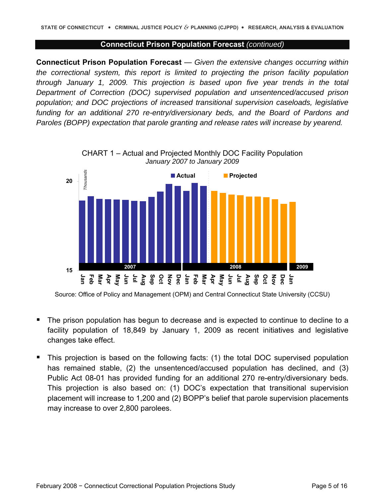#### **Connecticut Prison Population Forecast** *(continued)*

**Connecticut Prison Population Forecast** — *Given the extensive changes occurring within the correctional system, this report is limited to projecting the prison facility population through January 1, 2009. This projection is based upon five year trends in the total Department of Correction (DOC) supervised population and unsentenced/accused prison population; and DOC projections of increased transitional supervision caseloads, legislative funding for an additional 270 re-entry/diversionary beds, and the Board of Pardons and Paroles (BOPP) expectation that parole granting and release rates will increase by yearend.* 



Source: Office of Policy and Management (OPM) and Central Connecticut State University (CCSU)

- The prison population has begun to decrease and is expected to continue to decline to a facility population of 18,849 by January 1, 2009 as recent initiatives and legislative changes take effect.
- This projection is based on the following facts: (1) the total DOC supervised population has remained stable, (2) the unsentenced/accused population has declined, and (3) Public Act 08-01 has provided funding for an additional 270 re-entry/diversionary beds. This projection is also based on: (1) DOC's expectation that transitional supervision placement will increase to 1,200 and (2) BOPP's belief that parole supervision placements may increase to over 2,800 parolees.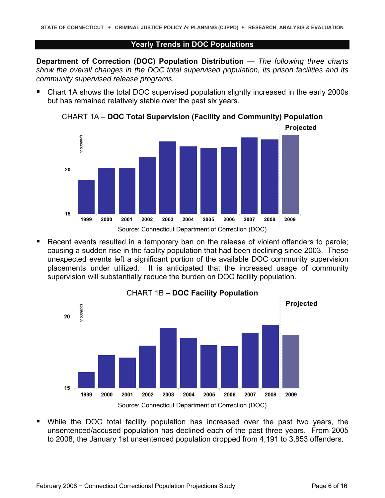#### **Yearly Trends in DOC Populations**

<span id="page-5-0"></span>**Department of Correction (DOC) Population Distribution** — *The following three charts show the overall changes in the DOC total supervised population, its prison facilities and its community supervised release programs.* 

 Chart 1A shows the total DOC supervised population slightly increased in the early 2000s but has remained relatively stable over the past six years.



CHART 1A – **DOC Total Supervision (Facility and Community) Population** 

 Recent events resulted in a temporary ban on the release of violent offenders to parole; causing a sudden rise in the facility population that had been declining since 2003. These unexpected events left a significant portion of the available DOC community supervision placements under utilized. It is anticipated that the increased usage of community supervision will substantially reduce the burden on DOC facility population.



CHART 1B – **DOC Facility Population** 

 While the DOC total facility population has increased over the past two years, the unsentenced/accused population has declined each of the past three years. From 2005 to 2008, the January 1st unsentenced population dropped from 4,191 to 3,853 offenders.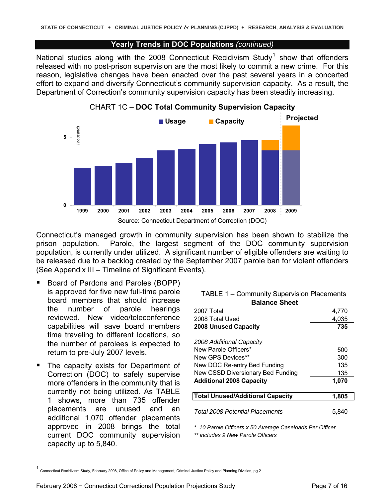#### **Yearly Trends in DOC Populations** *(continued)*

National studies along with the 2008 Connecticut Recidivism Study<sup>[1](#page-6-0)</sup> show that offenders released with no post-prison supervision are the most likely to commit a new crime. For this reason, legislative changes have been enacted over the past several years in a concerted effort to expand and diversify Connecticut's community supervision capacity. As a result, the Department of Correction's community supervision capacity has been steadily increasing.





Connecticut's managed growth in community supervision has been shown to stabilize the prison population. Parole, the largest segment of the DOC community supervision population, is currently under utilized. A significant number of eligible offenders are waiting to be released due to a backlog created by the September 2007 parole ban for violent offenders (See Appendix III – Timeline of Significant Events).

- Board of Pardons and Paroles (BOPP) is approved for five new full-time parole board members that should increase the number of parole hearings reviewed. New video/teleconference capabilities will save board members time traveling to different locations, so the number of parolees is expected to return to pre-July 2007 levels.
- **The capacity exists for Department of** Correction (DOC) to safely supervise more offenders in the community that is currently not being utilized. As TABLE 1 shows, more than 735 offender placements are unused and an additional 1,070 offender placements approved in 2008 brings the total current DOC community supervision capacity up to 5,840.

 $\overline{a}$ 

| <b>TABLE 1 – Community Supervision Placements</b>       |       |  |  |  |  |  |
|---------------------------------------------------------|-------|--|--|--|--|--|
| <b>Balance Sheet</b>                                    |       |  |  |  |  |  |
| 2007 Total                                              | 4,770 |  |  |  |  |  |
| 4,035<br>2008 Total Used                                |       |  |  |  |  |  |
| <b>2008 Unused Capacity</b>                             | 735   |  |  |  |  |  |
| 2008 Additional Capacity                                |       |  |  |  |  |  |
| New Parole Officers*                                    | 500   |  |  |  |  |  |
| New GPS Devices**                                       | 300   |  |  |  |  |  |
| New DOC Re-entry Bed Funding                            | 135   |  |  |  |  |  |
| New CSSD Diversionary Bed Funding                       |       |  |  |  |  |  |
| <b>Additional 2008 Capacity</b>                         | 1,070 |  |  |  |  |  |
| <b>Total Unused/Additional Capacity</b>                 | 1,805 |  |  |  |  |  |
| <b>Total 2008 Potential Placements</b>                  | 5,840 |  |  |  |  |  |
| * 10 Parole Officers x 50 Average Caseloads Per Officer |       |  |  |  |  |  |

*\*\* includes 9 New Parole Officers*

<span id="page-6-0"></span><sup>1</sup> Connecticut Recidivism Study, February 2008, Office of Policy and Management, Criminal Justice Policy and Planning Division, pg 2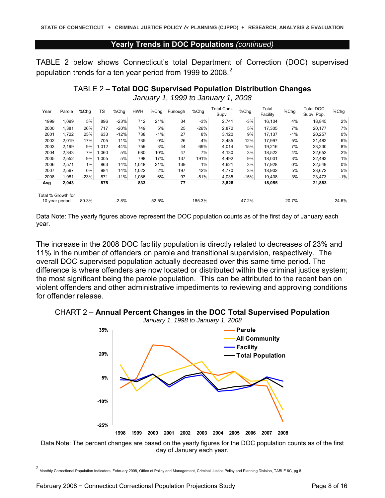#### **Yearly Trends in DOC Populations** *(continued)*

TABLE 2 below shows Connecticut's total Department of Correction (DOC) supervised population trends for a ten year period from 1999 to [2](#page-7-0)008.<sup>2</sup>

| <b>TABLE 2- Total DOC Supervised Population Distribution Changes</b> |  |
|----------------------------------------------------------------------|--|
| January 1, 1999 to January 1, 2008                                   |  |

| Year                                 | Parole | %Chg   | TS    | %Chg    | <b>HWH</b> | %Chg   | Furlough | %Chg   | Total Com.<br>Supv. | %Chg   | Total<br>Facility | %Chq  | Total DOC<br>Supv. Pop. | %Chg  |
|--------------------------------------|--------|--------|-------|---------|------------|--------|----------|--------|---------------------|--------|-------------------|-------|-------------------------|-------|
| 1999                                 | 1,099  | 5%     | 896   | $-23%$  | 712        | 21%    | 34       | $-3%$  | 2,741               | $-3%$  | 16,104            | 4%    | 18,845                  | 2%    |
| 2000                                 | 1,381  | 26%    | 717   | $-20%$  | 749        | 5%     | 25       | $-26%$ | 2,872               | 5%     | 17,305            | 7%    | 20,177                  | 7%    |
| 2001                                 | 1,722  | 25%    | 633   | $-12%$  | 738        | $-1%$  | 27       | 8%     | 3,120               | 9%     | 17.137            | $-1%$ | 20,257                  | 0%    |
| 2002                                 | 2,019  | 17%    | 705   | 11%     | 735        | 0%     | 26       | $-4%$  | 3,485               | 12%    | 17.997            | 5%    | 21,482                  | 6%    |
| 2003                                 | 2.199  | 9%     | 1.012 | 44%     | 759        | 3%     | 44       | 69%    | 4,014               | 15%    | 19.216            | 7%    | 23.230                  | 8%    |
| 2004                                 | 2,343  | 7%     | ,060  | 5%      | 680        | $-10%$ | 47       | 7%     | 4,130               | 3%     | 18,522            | $-4%$ | 22,652                  | $-2%$ |
| 2005                                 | 2,552  | 9%     | 1,005 | $-5%$   | 798        | 17%    | 137      | 191%   | 4,492               | 9%     | 18,001            | $-3%$ | 22,493                  | $-1%$ |
| 2006                                 | 2,571  | 1%     | 863   | $-14%$  | 1.048      | 31%    | 139      | 1%     | 4,621               | 3%     | 17.928            | $0\%$ | 22,549                  | 0%    |
| 2007                                 | 2,567  | 0%     | 984   | 14%     | 1,022      | $-2%$  | 197      | 42%    | 4,770               | 3%     | 18,902            | 5%    | 23,672                  | 5%    |
| 2008                                 | 1,981  | $-23%$ | 871   | $-11%$  | 1,086      | 6%     | 97       | $-51%$ | 4,035               | $-15%$ | 19.438            | 3%    | 23,473                  | $-1%$ |
| Avg                                  | 2,043  |        | 875   |         | 833        |        | 77       |        | 3,828               |        | 18,055            |       | 21,883                  |       |
| Total % Growth for<br>10 year period |        | 80.3%  |       | $-2.8%$ |            | 52.5%  |          | 185.3% |                     | 47.2%  |                   | 20.7% |                         | 24.6% |

Data Note: The yearly figures above represent the DOC population counts as of the first day of January each year.

The increase in the 2008 DOC facility population is directly related to decreases of 23% and 11% in the number of offenders on parole and transitional supervision, respectively. The overall DOC supervised population actually decreased over this same time period. The difference is where offenders are now located or distributed within the criminal justice system; the most significant being the parole population. This can be attributed to the recent ban on violent offenders and other administrative impediments to reviewing and approving conditions for offender release.



*January 1, 1998 to January 1, 2008*





<span id="page-7-0"></span><sup>2</sup>  Monthly Correctional Population Indicators, February 2008, Office of Policy and Management, Criminal Justice Policy and Planning Division, TABLE 6C, pg 8.

 $\overline{a}$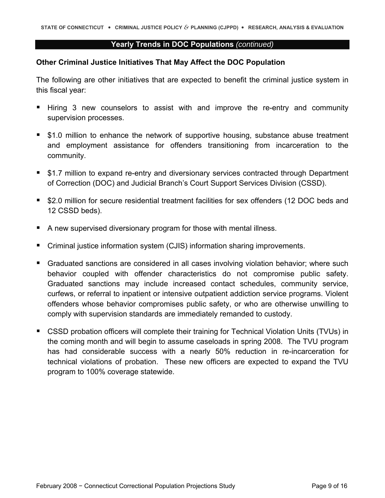#### **Yearly Trends in DOC Populations** *(continued)*

### **Other Criminal Justice Initiatives That May Affect the DOC Population**

The following are other initiatives that are expected to benefit the criminal justice system in this fiscal year:

- Hiring 3 new counselors to assist with and improve the re-entry and community supervision processes.
- **51.0 million to enhance the network of supportive housing, substance abuse treatment** and employment assistance for offenders transitioning from incarceration to the community.
- **51.7 million to expand re-entry and diversionary services contracted through Department** of Correction (DOC) and Judicial Branch's Court Support Services Division (CSSD).
- \$2.0 million for secure residential treatment facilities for sex offenders (12 DOC beds and 12 CSSD beds).
- A new supervised diversionary program for those with mental illness.
- Criminal justice information system (CJIS) information sharing improvements.
- **Graduated sanctions are considered in all cases involving violation behavior; where such Graduate** behavior coupled with offender characteristics do not compromise public safety. Graduated sanctions may include increased contact schedules, community service, curfews, or referral to inpatient or intensive outpatient addiction service programs. Violent offenders whose behavior compromises public safety, or who are otherwise unwilling to comply with supervision standards are immediately remanded to custody.
- CSSD probation officers will complete their training for Technical Violation Units (TVUs) in the coming month and will begin to assume caseloads in spring 2008. The TVU program has had considerable success with a nearly 50% reduction in re-incarceration for technical violations of probation. These new officers are expected to expand the TVU program to 100% coverage statewide.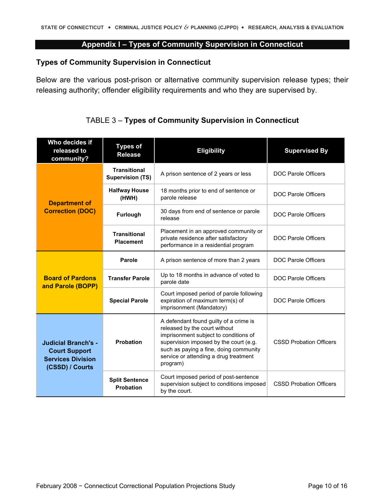# **Appendix I – Types of Community Supervision in Connecticut**

# <span id="page-9-0"></span>**Types of Community Supervision in Connecticut**

Below are the various post-prison or alternative community supervision release types; their releasing authority; offender eligibility requirements and who they are supervised by.

| Who decides if<br>released to<br>community?                                                       | <b>Types of</b><br><b>Release</b>              | <b>Eligibility</b>                                                                                                                                                                                                                                        | <b>Supervised By</b>           |
|---------------------------------------------------------------------------------------------------|------------------------------------------------|-----------------------------------------------------------------------------------------------------------------------------------------------------------------------------------------------------------------------------------------------------------|--------------------------------|
|                                                                                                   | <b>Transitional</b><br><b>Supervision (TS)</b> | A prison sentence of 2 years or less                                                                                                                                                                                                                      | <b>DOC Parole Officers</b>     |
| <b>Department of</b>                                                                              | <b>Halfway House</b><br>(HWH)                  | 18 months prior to end of sentence or<br>parole release                                                                                                                                                                                                   | <b>DOC Parole Officers</b>     |
| <b>Correction (DOC)</b>                                                                           | <b>Furlough</b>                                | 30 days from end of sentence or parole<br>release                                                                                                                                                                                                         | <b>DOC Parole Officers</b>     |
|                                                                                                   | <b>Transitional</b><br><b>Placement</b>        | Placement in an approved community or<br>private residence after satisfactory<br>performance in a residential program                                                                                                                                     | DOC Parole Officers            |
|                                                                                                   | <b>Parole</b>                                  | A prison sentence of more than 2 years                                                                                                                                                                                                                    | <b>DOC Parole Officers</b>     |
| <b>Board of Pardons</b><br>and Parole (BOPP)                                                      | <b>Transfer Parole</b>                         | Up to 18 months in advance of voted to<br>parole date                                                                                                                                                                                                     | <b>DOC Parole Officers</b>     |
|                                                                                                   | <b>Special Parole</b>                          | Court imposed period of parole following<br>expiration of maximum term(s) of<br>imprisonment (Mandatory)                                                                                                                                                  | <b>DOC Parole Officers</b>     |
| <b>Judicial Branch's -</b><br><b>Court Support</b><br><b>Services Division</b><br>(CSSD) / Courts | <b>Probation</b>                               | A defendant found guilty of a crime is<br>released by the court without<br>imprisonment subject to conditions of<br>supervision imposed by the court (e.g.<br>such as paying a fine, doing community<br>service or attending a drug treatment<br>program) | <b>CSSD Probation Officers</b> |
|                                                                                                   | <b>Split Sentence</b><br><b>Probation</b>      | Court imposed period of post-sentence<br>supervision subject to conditions imposed<br>by the court.                                                                                                                                                       | <b>CSSD Probation Officers</b> |

TABLE 3 – **Types of Community Supervision in Connecticut**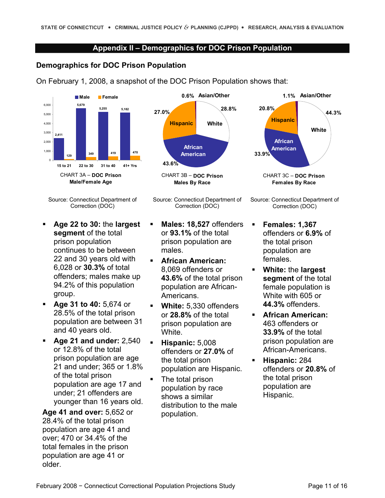### **Appendix II – Demographics for DOC Prison Population**

### <span id="page-10-0"></span>**Demographics for DOC Prison Population**

On February 1, 2008, a snapshot of the DOC Prison Population shows that:



Source: Connecticut Department of Correction (DOC)

- **Age 22 to 30:** the **largest segment** of the total prison population continues to be between 22 and 30 years old with 6,028 or **30.3%** of total offenders; males make up 94.2% of this population group.
- **Age 31 to 40:** 5,674 or 28.5% of the total prison population are between 31 and 40 years old.
- **Age 21 and under:** 2,540 or 12.8% of the total prison population are age 21 and under; 365 or 1.8% of the total prison population are age 17 and under; 21 offenders are younger than 16 years old.

**Age 41 and over:** 5,652 or 28.4% of the total prison population are age 41 and over; 470 or 34.4% of the total females in the prison population are age 41 or older.





- **Males: 18,527** offenders or **93.1%** of the total prison population are males.
- **African American:**  8,069 offenders or **43.6%** of the total prison population are African-Americans.
- **White:** 5,330 offenders or **28.8%** of the total prison population are White.
- **Hispanic:** 5,008 offenders or **27.0%** of the total prison population are Hispanic.
- The total prison population by race shows a similar distribution to the male population.



Source: Connecticut Department of Correction (DOC)

- **Females: 1,367**  offenders or **6.9%** of the total prison population are females.
- **White:** the **largest segment** of the total female population is White with 605 or **44.3%** offenders.
- **African American:**  463 offenders or **33.9%** of the total prison population are African-Americans.
- **Hispanic:** 284 offenders or **20.8%** of the total prison population are Hispanic.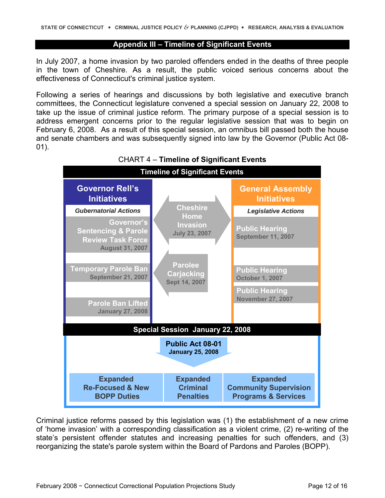#### **Appendix III – Timeline of Significant Events**

<span id="page-11-0"></span>In July 2007, a home invasion by two paroled offenders ended in the deaths of three people in the town of Cheshire. As a result, the public voiced serious concerns about the effectiveness of Connecticut's criminal justice system.

Following a series of hearings and discussions by both legislative and executive branch committees, the Connecticut legislature convened a special session on January 22, 2008 to take up the issue of criminal justice reform. The primary purpose of a special session is to address emergent concerns prior to the regular legislative session that was to begin on February 6, 2008. As a result of this special session, an omnibus bill passed both the house and senate chambers and was subsequently signed into law by the Governor (Public Act 08- 01).



# CHART 4 – **Timeline of Significant Events**

Criminal justice reforms passed by this legislation was (1) the establishment of a new crime of 'home invasion' with a corresponding classification as a violent crime, (2) re-writing of the state's persistent offender statutes and increasing penalties for such offenders, and (3) reorganizing the state's parole system within the Board of Pardons and Paroles (BOPP).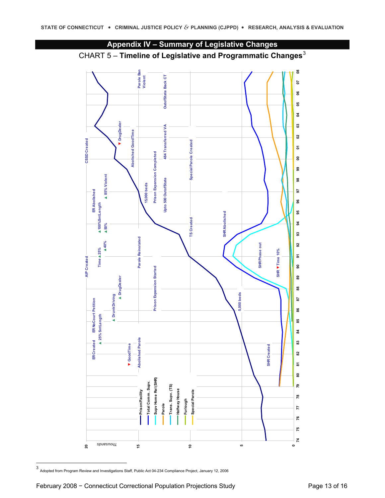<span id="page-12-0"></span>



<span id="page-12-1"></span>-<br>3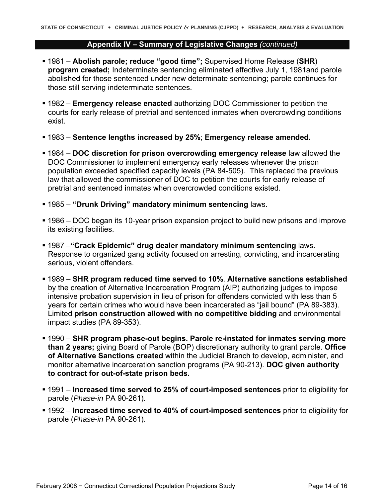### **Appendix IV – Summary of Legislative Changes** *(continued)*

- 1981 **Abolish parole; reduce "good time";** Supervised Home Release (**SHR**) **program created;** Indeterminate sentencing eliminated effective July 1, 1981and parole abolished for those sentenced under new determinate sentencing; parole continues for those still serving indeterminate sentences.
- 1982 **Emergency release enacted** authorizing DOC Commissioner to petition the courts for early release of pretrial and sentenced inmates when overcrowding conditions exist.
- 1983 **Sentence lengths increased by 25%**; **Emergency release amended.**
- 1984 **DOC discretion for prison overcrowding emergency release** law allowed the DOC Commissioner to implement emergency early releases whenever the prison population exceeded specified capacity levels (PA 84-505). This replaced the previous law that allowed the commissioner of DOC to petition the courts for early release of pretrial and sentenced inmates when overcrowded conditions existed.
- 1985 **"Drunk Driving" mandatory minimum sentencing** laws.
- 1986 DOC began its 10-year prison expansion project to build new prisons and improve its existing facilities.
- 1987 –**"Crack Epidemic" drug dealer mandatory minimum sentencing** laws. Response to organized gang activity focused on arresting, convicting, and incarcerating serious, violent offenders.
- 1989 **SHR program reduced time served to 10%**. **Alternative sanctions established**  by the creation of Alternative Incarceration Program (AIP) authorizing judges to impose intensive probation supervision in lieu of prison for offenders convicted with less than 5 years for certain crimes who would have been incarcerated as "jail bound" (PA 89-383). Limited **prison construction allowed with no competitive bidding** and environmental impact studies (PA 89-353).
- 1990 **SHR program phase-out begins. Parole re-instated for inmates serving more than 2 years;** giving Board of Parole (BOP) discretionary authority to grant parole. **Office of Alternative Sanctions created** within the Judicial Branch to develop, administer, and monitor alternative incarceration sanction programs (PA 90-213). **DOC given authority to contract for out-of-state prison beds.**
- 1991 **Increased time served to 25% of court-imposed sentences** prior to eligibility for parole (*Phase-in* PA 90-261).
- 1992 **Increased time served to 40% of court-imposed sentences** prior to eligibility for parole (*Phase-in* PA 90-261).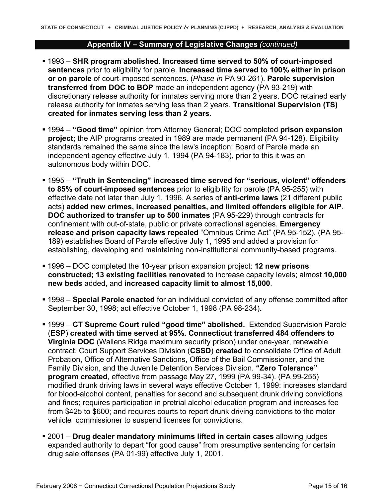#### **Appendix IV – Summary of Legislative Changes** *(continued)*

- 1993 **SHR program abolished. Increased time served to 50% of court-imposed sentences** prior to eligibility for parole. **Increased time served to 100% either in prison or on parole** of court-imposed sentences. (*Phase-in* PA 90-261). **Parole supervision transferred from DOC to BOP** made an independent agency (PA 93-219) with discretionary release authority for inmates serving more than 2 years. DOC retained early release authority for inmates serving less than 2 years. **Transitional Supervision (TS) created for inmates serving less than 2 years**.
- 1994 **"Good time"** opinion from Attorney General; DOC completed **prison expansion project;** the AIP programs created in 1989 are made permanent (PA 94-128). Eligibility standards remained the same since the law's inception; Board of Parole made an independent agency effective July 1, 1994 (PA 94-183), prior to this it was an autonomous body within DOC.
- 1995 **"Truth in Sentencing" increased time served for "serious, violent" offenders to 85% of court-imposed sentences** prior to eligibility for parole (PA 95-255) with effective date not later than July 1, 1996. A series of **anti-crime laws** (21 different public acts) **added new crimes, increased penalties, and limited offenders eligible for AIP**. **DOC authorized to transfer up to 500 inmates** (PA 95-229) through contracts for confinement with out-of-state, public or private correctional agencies. **Emergency release and prison capacity laws repealed** "Omnibus Crime Act" (PA 95-152). (PA 95- 189) establishes Board of Parole effective July 1, 1995 and added a provision for establishing, developing and maintaining non-institutional community-based programs.
- 1996 DOC completed the 10-year prison expansion project: **12 new prisons constructed; 13 existing facilities renovated** to increase capacity levels; almost **10,000 new beds** added, and **increased capacity limit to almost 15,000**.
- 1998 **Special Parole enacted** for an individual convicted of any offense committed after September 30, 1998; act effective October 1, 1998 (PA 98-234)**.**
- 1999 **CT Supreme Court ruled "good time" abolished.** Extended Supervision Parole (**ESP**) **created with time served at 95%. Connecticut transferred 484 offenders to Virginia DOC** (Wallens Ridge maximum security prison) under one-year, renewable contract. Court Support Services Division (**CSSD**) **created** to consolidate Office of Adult Probation, Office of Alternative Sanctions, Office of the Bail Commissioner, and the Family Division, and the Juvenile Detention Services Division. **"Zero Tolerance" program created**, effective from passage May 27, 1999 (PA 99-34). (PA 99-255) modified drunk driving laws in several ways effective October 1, 1999: increases standard for blood-alcohol content, penalties for second and subsequent drunk driving convictions and fines; requires participation in pretrial alcohol education program and increases fee from \$425 to \$600; and requires courts to report drunk driving convictions to the motor vehicle commissioner to suspend licenses for convictions.
- 2001 **Drug dealer mandatory minimums lifted in certain cases** allowing judges expanded authority to depart "for good cause" from presumptive sentencing for certain drug sale offenses (PA 01-99) effective July 1, 2001.